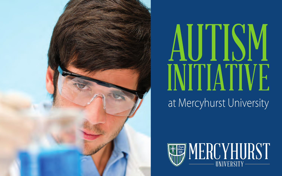

# AUTIS. INITIATIVE at Mercyhurst University

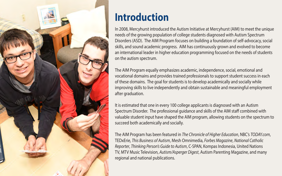

## **Introduction**

In 2008, Mercyhurst introduced the Autism Initiative at Mercyhurst (AIM) to meet the unique needs of the growing population of college students diagnosed with Autism Spectrum Disorders (ASD). The AIM Program focuses on building a foundation of self-advocacy, social skills, and sound academic progress. AIM has continuously grown and evolved to become an international leader in higher education programming focused on the needs of students on the autism spectrum.

The AIM Program equally emphasizes academic, independence, social, emotional and vocational domains and provides trained professionals to support student success in each of these domains. The goal for students is to develop academically and socially while improving skills to live independently and obtain sustainable and meaningful employment after graduation.

It is estimated that one in every 100 college applicants is diagnosed with an Autism Spectrum Disorder. The professional guidance and skills of the AIM staff combined with valuable student input have shaped the AIM program, allowing students on the spectrum to succeed both academically and socially.

The AIM Program has been featured in *The Chronicle of Higher Education*, NBC's *[TODAY.com](https://TODAY.com)*, TEDxErie, *This Business of Autism*, Mesh Omnimedia, *Forbes Magazine*, *National Catholic Reporter*, *Thinking Person's Guide to Autism*, C-SPAN, Kompas Indonesia, United Nations TV, MTV Music Television, *Autism/Asperger Digest*, Autism Parenting Magazine, and many regional and national publications.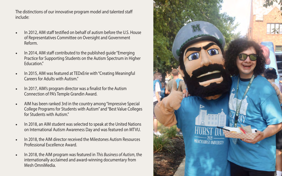The distinctions of our innovative program model and talented staf include:

- In 2012, AIM staff testified on behalf of autism before the U.S. House of Representatives Committee on Oversight and Government Reform.
- In 2014, AIM staff contributed to the published quide "Emerging" Practice for Supporting Students on the Autism Spectrum in Higher Education."
- In 2015, AIM was featured at TEDxErie with "Creating Meaningful Careers for Adults with Autism."
- In 2017, AIM's program director was a fnalist for the Autism Connection of PA's Temple Grandin Award.
- AIM has been ranked 3rd in the country among "Impressive Special College Programs for Students with Autism" and "Best Value Colleges for Students with Autism."
- In 2018, an AIM student was selected to speak at the United Nations on International Autism Awareness Day and was featured on MTVU.
- In 2018, the AIM director received the Milestones Autism Resources Professional Excellence Award.
- In 2018, the AIM program was featured in *This Business of Autism*, the internationally acclaimed and award-winning documentary from Mesh OmniMedia.

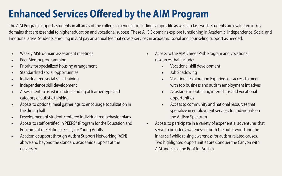# **Enhanced Services Ofered by the AIM Program**

The AIM Program supports students in all areas of the college experience, including campus life as well as class work. Students are evaluated in key domains that are essential to higher education and vocational success. These A.I.S.E domains explore functioning in Academic, Independence, Social and Emotional areas. Students enrolling in AIM pay an annual fee that covers services in academic, social and counseling support as needed.

- Weekly AISE domain assessment meetings
- Peer Mentor programming
- Priority for specialized housing arrangement
- Standardized social opportunities
- Individualized social skills training
- Independence skill development
- Assessment to assist in understanding of learner-type and category of autistic thinking
- Access to optional meal gatherings to encourage socialization in the dining hall
- Development of student-centered individualized behavior plans
- Access to staff certified in PEERS® (Program for the Education and Enrichment of Relational Skills) for Young Adults
- Academic support through Autism Support Networking (ASN) above and beyond the standard academic supports at the university
- Access to the AIM Career Path Program and vocational resources that include:
	- Vocational skill development
	- Job Shadowing
	- Vocational Exploration Experience access to meet with top business and autism employment intiatives
	- Assistance in obtaining internships and vocational opportunities
	- Access to community and national resources that specialize in employment services for individuals on the Autism Spectrum
- Access to participate in a variety of experiential adventures that serve to broaden awareness of both the outer world and the inner self while raising awareness for autism-related causes. Two highlighted opportunities are Conquer the Canyon with AIM and Raise the Roof for Autism.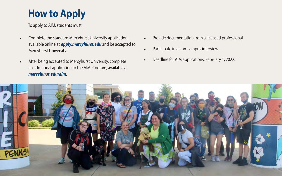# **How to Apply**

To apply to AIM, students must:

- Complete the standard Mercyhurst University application, Provide documentation from a licensed professional. available online at **[apply.mercyhurst.edu](https://apply.mercyhurst.edu)** and be accepted to **•** Participate in an on-campus interview.<br>Mercyhurst University.
- *[mercyhurst.edu/aim](https://mercyhurst.edu/aim)*. • After being accepted to Mercyhurst University, complete • Deadline for AIM applications: February 1, 2022. an additional application to the AIM Program, available at
- 
- 
- 

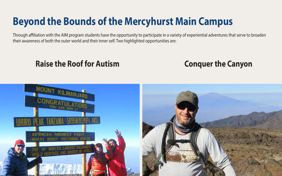# **Beyond the Bounds of the Mercyhurst Main Campus**

Through afliation with the AIM program students have the opportunity to participate in a variety of experiential adventures that serve to broaden their awareness of both the outer world and their inner self. Two highlighted opportunities are:

#### **Raise the Roof for Autism Conquer the Canyon Conquer the Canyon**

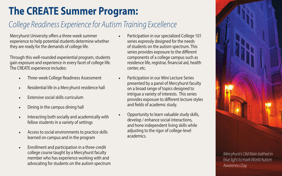# **The CREATE Summer Program:**

### *College Readiness Experience for Autism Training Excellence*

Mercyhurst University offers a three-week summer experience to help potential students determine whether they are ready for the demands of college life.

Through this well-rounded experiential program, students gain exposure and experience in every facet of college life. The CREATE experience includes:

- Three-week College Readiness Assessment
- Residential life in a Mercyhurst residence hall
- Extensive social skills curriculum
- Dining in the campus dining hall
- Interacting both socially and academically with fellow students in a variety of settings
- Access to social environments to practice skills learned on campus and in the program
- Enrollment and participation in a three-credit college course taught by a Mercyhurst faculty member who has experience working with and advocating for students on the autism spectrum
- Participation in our specialized College 101 series expressly designed for the needs of students on the autism spectrum. This series provides exposure to the diferent components of a college campus such as residence life, registrar, fnancial aid, health center, etc.
- Participation in our Mini Lecture Series presented by a panel of Mercyhurst faculty on a broad range of topics designed to intrigue a variety of interests. This series provides exposure to diferent lecture styles and felds of academic study.
- Opportunity to learn valuable study skills, develop / enhance social interactions, and hone independent living skills while adjusting to the rigor of college-level academics.